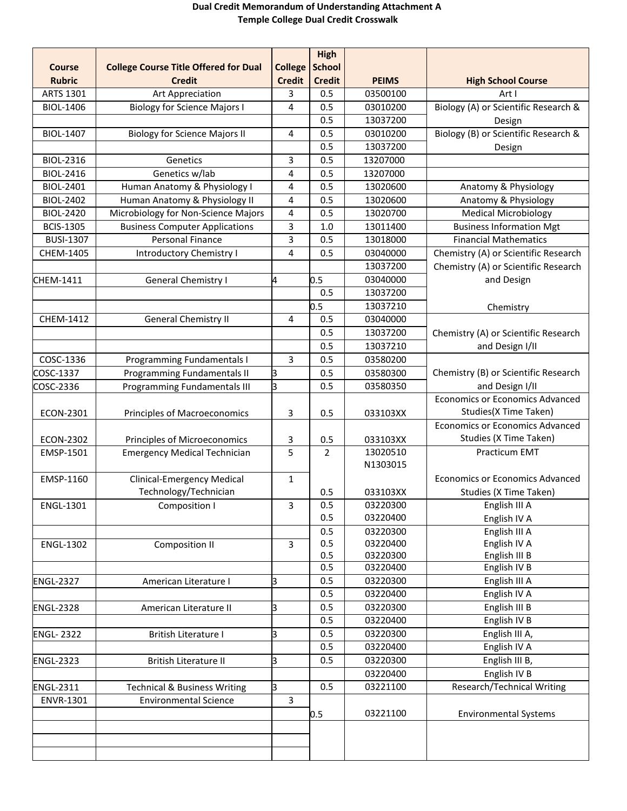## **Dual Credit Memorandum of Understanding Attachment A Temple College Dual Credit Crosswalk**

|                  |                                              |                | <b>High</b>   |              |                                        |
|------------------|----------------------------------------------|----------------|---------------|--------------|----------------------------------------|
| <b>Course</b>    | <b>College Course Title Offered for Dual</b> | <b>College</b> | <b>School</b> |              |                                        |
| <b>Rubric</b>    | <b>Credit</b>                                | <b>Credit</b>  | <b>Credit</b> | <b>PEIMS</b> | <b>High School Course</b>              |
| ARTS 1301        | Art Appreciation                             | 3              | 0.5           | 03500100     | Art I                                  |
| <b>BIOL-1406</b> | <b>Biology for Science Majors I</b>          | 4              | 0.5           | 03010200     | Biology (A) or Scientific Research &   |
|                  |                                              |                | 0.5           | 13037200     | Design                                 |
| <b>BIOL-1407</b> | <b>Biology for Science Majors II</b>         | 4              | 0.5           | 03010200     | Biology (B) or Scientific Research &   |
|                  |                                              |                | 0.5           | 13037200     | Design                                 |
| BIOL-2316        | Genetics                                     | 3              | 0.5           | 13207000     |                                        |
| <b>BIOL-2416</b> | Genetics w/lab                               | 4              | 0.5           | 13207000     |                                        |
| BIOL-2401        | Human Anatomy & Physiology I                 | 4              | 0.5           | 13020600     | Anatomy & Physiology                   |
| <b>BIOL-2402</b> | Human Anatomy & Physiology II                | 4              | 0.5           | 13020600     | Anatomy & Physiology                   |
| <b>BIOL-2420</b> | Microbiology for Non-Science Majors          | 4              | 0.5           | 13020700     | <b>Medical Microbiology</b>            |
| <b>BCIS-1305</b> | <b>Business Computer Applications</b>        | 3              | 1.0           | 13011400     | <b>Business Information Mgt</b>        |
| <b>BUSI-1307</b> | <b>Personal Finance</b>                      | $\overline{3}$ | 0.5           | 13018000     | <b>Financial Mathematics</b>           |
| CHEM-1405        | <b>Introductory Chemistry I</b>              | 4              | 0.5           | 03040000     | Chemistry (A) or Scientific Research   |
|                  |                                              |                |               | 13037200     | Chemistry (A) or Scientific Research   |
| CHEM-1411        | General Chemistry I                          | 4              | 0.5           | 03040000     | and Design                             |
|                  |                                              |                | 0.5           | 13037200     |                                        |
|                  |                                              |                | 0.5           | 13037210     | Chemistry                              |
| <b>CHEM-1412</b> | <b>General Chemistry II</b>                  | 4              | 0.5           | 03040000     |                                        |
|                  |                                              |                | 0.5           | 13037200     | Chemistry (A) or Scientific Research   |
|                  |                                              |                | 0.5           | 13037210     | and Design I/II                        |
| COSC-1336        | Programming Fundamentals I                   | $\overline{3}$ | 0.5           | 03580200     |                                        |
| COSC-1337        | Programming Fundamentals II                  | β              | 0.5           | 03580300     | Chemistry (B) or Scientific Research   |
| COSC-2336        | Programming Fundamentals III                 | з              | 0.5           | 03580350     | and Design I/II                        |
|                  |                                              |                |               |              | <b>Economics or Economics Advanced</b> |
| ECON-2301        | Principles of Macroeconomics                 | 3              | 0.5           | 033103XX     | Studies(X Time Taken)                  |
|                  |                                              |                |               |              | <b>Economics or Economics Advanced</b> |
| ECON-2302        | Principles of Microeconomics                 | 3              | 0.5           | 033103XX     | Studies (X Time Taken)                 |
| EMSP-1501        | <b>Emergency Medical Technician</b>          | 5              | 2             | 13020510     | <b>Practicum EMT</b>                   |
|                  |                                              |                |               | N1303015     |                                        |
| EMSP-1160        | <b>Clinical-Emergency Medical</b>            | $\mathbf{1}$   |               |              | <b>Economics or Economics Advanced</b> |
|                  | Technology/Technician                        |                | 0.5           | 033103XX     | Studies (X Time Taken)                 |
| ENGL-1301        | Composition I                                | 3              | 0.5           | 03220300     | English III A                          |
|                  |                                              |                | 0.5           | 03220400     | English IV A                           |
|                  |                                              |                | 0.5           | 03220300     | English III A                          |
| <b>ENGL-1302</b> | Composition II                               | 3              | 0.5           | 03220400     | English IV A                           |
|                  |                                              |                | 0.5           | 03220300     | English III B                          |
|                  |                                              |                | 0.5           | 03220400     | English IV B                           |
| <b>ENGL-2327</b> | American Literature I                        | 3              | 0.5           | 03220300     | English III A                          |
|                  |                                              |                | 0.5           | 03220400     | English IV A                           |
| <b>ENGL-2328</b> | American Literature II                       | 3              | 0.5           | 03220300     | English III B                          |
|                  |                                              |                | 0.5           | 03220400     | English IV B                           |
| <b>ENGL-2322</b> | British Literature I                         | 3              | 0.5           | 03220300     | English III A,                         |
|                  |                                              |                | 0.5           | 03220400     | English IV A                           |
| <b>ENGL-2323</b> | British Literature II                        | 3              | 0.5           | 03220300     | English III B,                         |
|                  |                                              |                |               | 03220400     | English IV B                           |
| <b>ENGL-2311</b> | <b>Technical &amp; Business Writing</b>      | З              | 0.5           | 03221100     | Research/Technical Writing             |
| ENVR-1301        | <b>Environmental Science</b>                 | $\overline{3}$ |               |              |                                        |
|                  |                                              |                | 0.5           | 03221100     | <b>Environmental Systems</b>           |
|                  |                                              |                |               |              |                                        |
|                  |                                              |                |               |              |                                        |
|                  |                                              |                |               |              |                                        |
|                  |                                              |                |               |              |                                        |